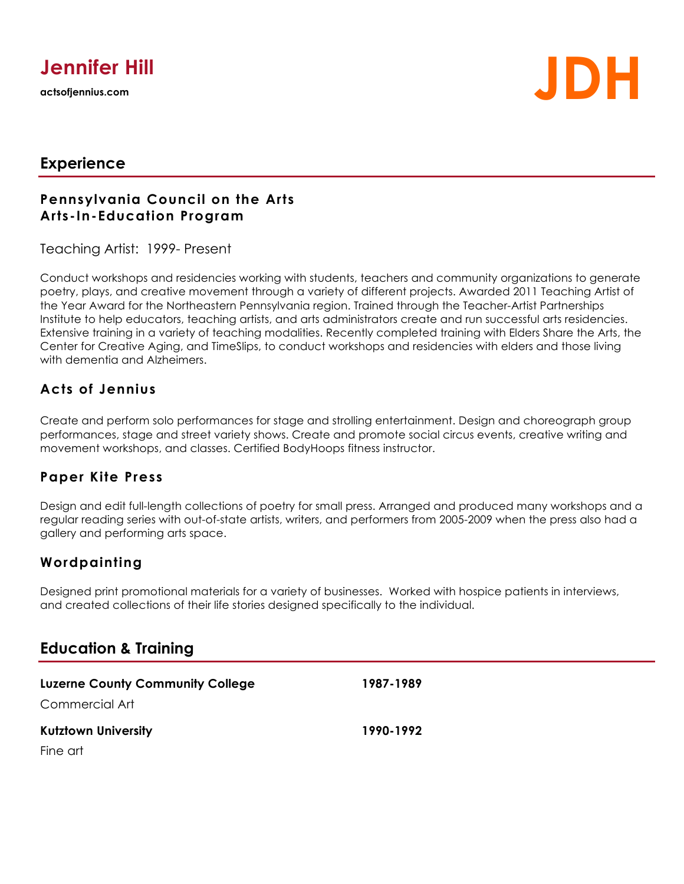

# **actsofjennius.com JDH**

## **Experience**

#### **Pennsylvania Council on the Arts Arts-In-Education Program**

Teaching Artist: 1999- Present

Conduct workshops and residencies working with students, teachers and community organizations to generate poetry, plays, and creative movement through a variety of different projects. Awarded 2011 Teaching Artist of the Year Award for the Northeastern Pennsylvania region. Trained through the Teacher-Artist Partnerships Institute to help educators, teaching artists, and arts administrators create and run successful arts residencies. Extensive training in a variety of teaching modalities. Recently completed training with Elders Share the Arts, the Center for Creative Aging, and TimeSlips, to conduct workshops and residencies with elders and those living with dementia and Alzheimers.

### **Acts of Jennius**

Create and perform solo performances for stage and strolling entertainment. Design and choreograph group performances, stage and street variety shows. Create and promote social circus events, creative writing and movement workshops, and classes. Certified BodyHoops fitness instructor.

#### **Paper Kite Press**

Design and edit full-length collections of poetry for small press. Arranged and produced many workshops and a regular reading series with out-of-state artists, writers, and performers from 2005-2009 when the press also had a gallery and performing arts space.

## **Wordpainting**

Designed print promotional materials for a variety of businesses. Worked with hospice patients in interviews, and created collections of their life stories designed specifically to the individual.

# **Education & Training**

| <b>Luzerne County Community College</b><br>Commercial Art | 1987-1989 |
|-----------------------------------------------------------|-----------|
|                                                           |           |
| Fine art                                                  |           |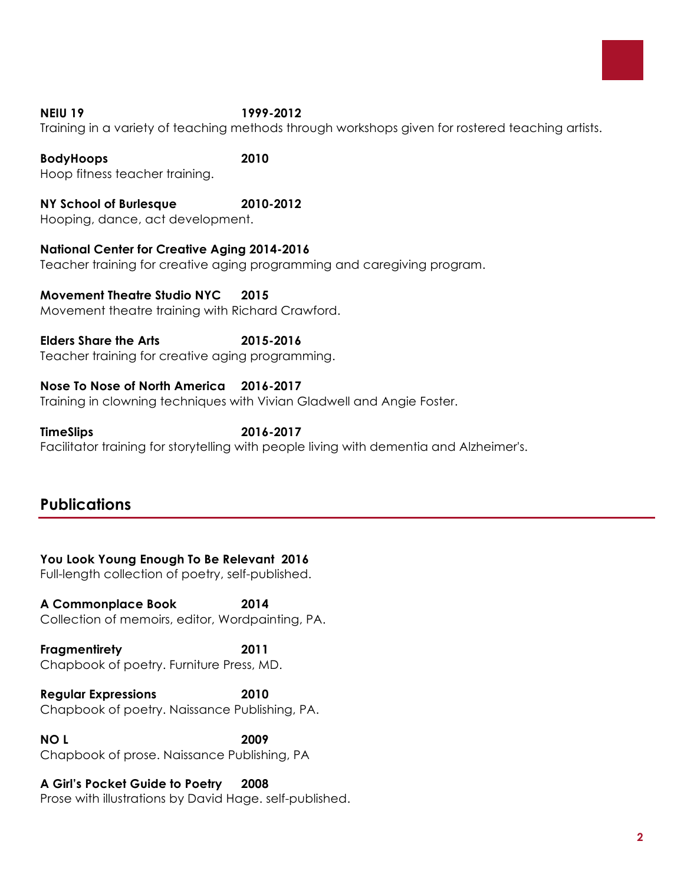

#### **NEIU 19 1999-2012**

Training in a variety of teaching methods through workshops given for rostered teaching artists.

#### **BodyHoops 2010**

Hoop fitness teacher training.

**NY School of Burlesque 2010-2012** Hooping, dance, act development.

**National Center for Creative Aging 2014-2016**

Teacher training for creative aging programming and caregiving program.

**Movement Theatre Studio NYC 2015** Movement theatre training with Richard Crawford.

**Elders Share the Arts 2015-2016** Teacher training for creative aging programming.

#### **Nose To Nose of North America 2016-2017**

Training in clowning techniques with Vivian Gladwell and Angie Foster.

**TimeSlips 2016-2017** Facilitator training for storytelling with people living with dementia and Alzheimer's.

# **Publications**

#### **You Look Young Enough To Be Relevant 2016**

Full-length collection of poetry, self-published.

**A Commonplace Book 2014** Collection of memoirs, editor, Wordpainting, PA.

**Fragmentirety 2011** Chapbook of poetry. Furniture Press, MD.

**Regular Expressions 2010** Chapbook of poetry. Naissance Publishing, PA.

**NO L 2009** Chapbook of prose. Naissance Publishing, PA

#### **A Girl's Pocket Guide to Poetry 2008**

Prose with illustrations by David Hage. self-published.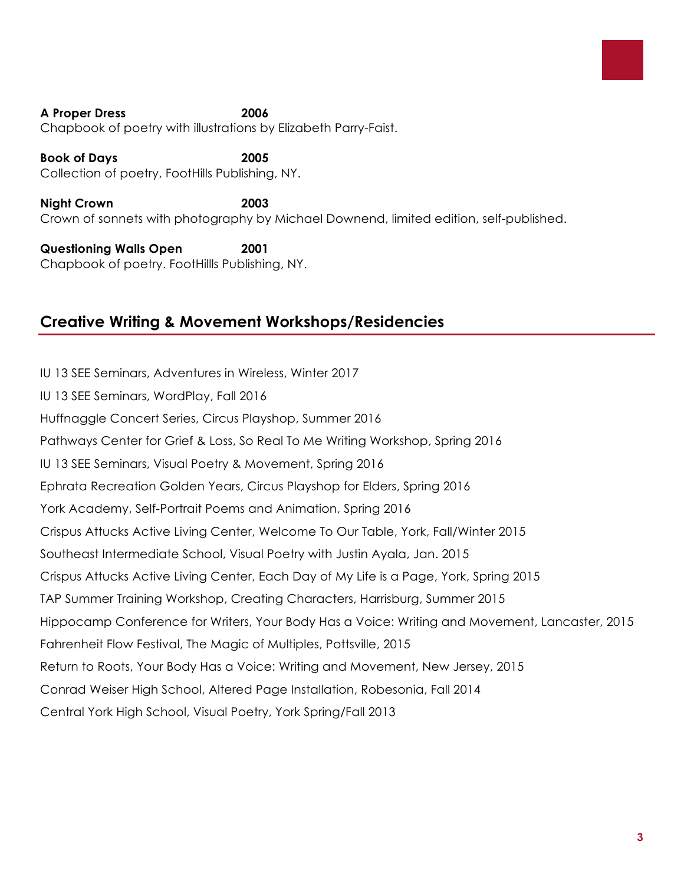#### **A Proper Dress 2006** Chapbook of poetry with illustrations by Elizabeth Parry-Faist.

**Book of Days 2005** Collection of poetry, FootHills Publishing, NY.

**Night Crown 2003** Crown of sonnets with photography by Michael Downend, limited edition, self-published.

**Questioning Walls Open 2001** Chapbook of poetry. FootHillls Publishing, NY.

# **Creative Writing & Movement Workshops/Residencies**

IU 13 SEE Seminars, Adventures in Wireless, Winter 2017 IU 13 SEE Seminars, WordPlay, Fall 2016 Huffnaggle Concert Series, Circus Playshop, Summer 2016 Pathways Center for Grief & Loss, So Real To Me Writing Workshop, Spring 2016 IU 13 SEE Seminars, Visual Poetry & Movement, Spring 2016 Ephrata Recreation Golden Years, Circus Playshop for Elders, Spring 2016 York Academy, Self-Portrait Poems and Animation, Spring 2016 Crispus Attucks Active Living Center, Welcome To Our Table, York, Fall/Winter 2015 Southeast Intermediate School, Visual Poetry with Justin Ayala, Jan. 2015 Crispus Attucks Active Living Center, Each Day of My Life is a Page, York, Spring 2015 TAP Summer Training Workshop, Creating Characters, Harrisburg, Summer 2015 Hippocamp Conference for Writers, Your Body Has a Voice: Writing and Movement, Lancaster, 2015 Fahrenheit Flow Festival, The Magic of Multiples, Pottsville, 2015 Return to Roots, Your Body Has a Voice: Writing and Movement, New Jersey, 2015 Conrad Weiser High School, Altered Page Installation, Robesonia, Fall 2014 Central York High School, Visual Poetry, York Spring/Fall 2013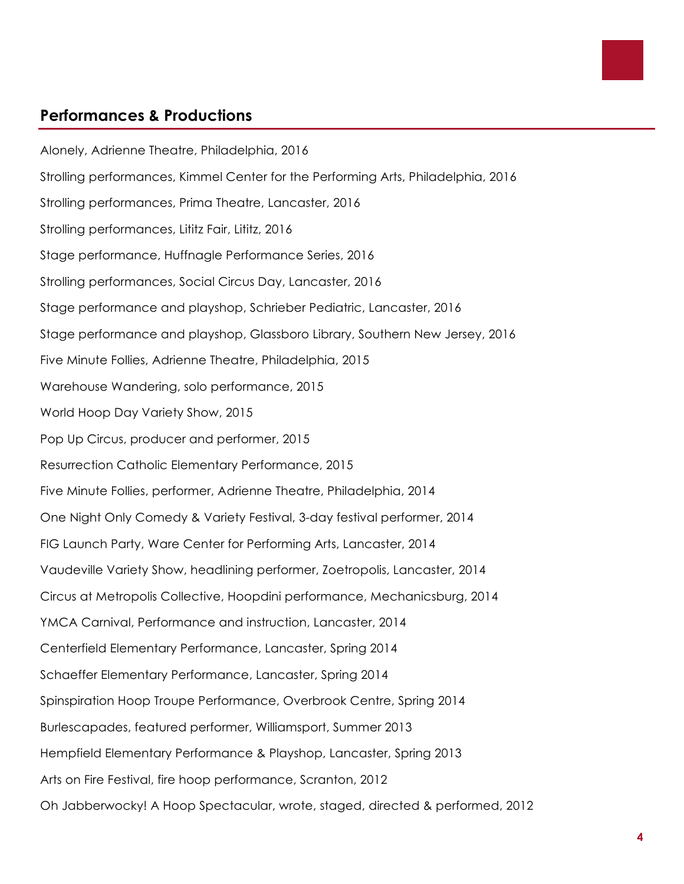

# **Performances & Productions**

Alonely, Adrienne Theatre, Philadelphia, 2016 Strolling performances, Kimmel Center for the Performing Arts, Philadelphia, 2016 Strolling performances, Prima Theatre, Lancaster, 2016 Strolling performances, Lititz Fair, Lititz, 2016 Stage performance, Huffnagle Performance Series, 2016 Strolling performances, Social Circus Day, Lancaster, 2016 Stage performance and playshop, Schrieber Pediatric, Lancaster, 2016 Stage performance and playshop, Glassboro Library, Southern New Jersey, 2016 Five Minute Follies, Adrienne Theatre, Philadelphia, 2015 Warehouse Wandering, solo performance, 2015 World Hoop Day Variety Show, 2015 Pop Up Circus, producer and performer, 2015 Resurrection Catholic Elementary Performance, 2015 Five Minute Follies, performer, Adrienne Theatre, Philadelphia, 2014 One Night Only Comedy & Variety Festival, 3-day festival performer, 2014 FIG Launch Party, Ware Center for Performing Arts, Lancaster, 2014 Vaudeville Variety Show, headlining performer, Zoetropolis, Lancaster, 2014 Circus at Metropolis Collective, Hoopdini performance, Mechanicsburg, 2014 YMCA Carnival, Performance and instruction, Lancaster, 2014 Centerfield Elementary Performance, Lancaster, Spring 2014 Schaeffer Elementary Performance, Lancaster, Spring 2014 Spinspiration Hoop Troupe Performance, Overbrook Centre, Spring 2014 Burlescapades, featured performer, Williamsport, Summer 2013 Hempfield Elementary Performance & Playshop, Lancaster, Spring 2013 Arts on Fire Festival, fire hoop performance, Scranton, 2012 Oh Jabberwocky! A Hoop Spectacular, wrote, staged, directed & performed, 2012